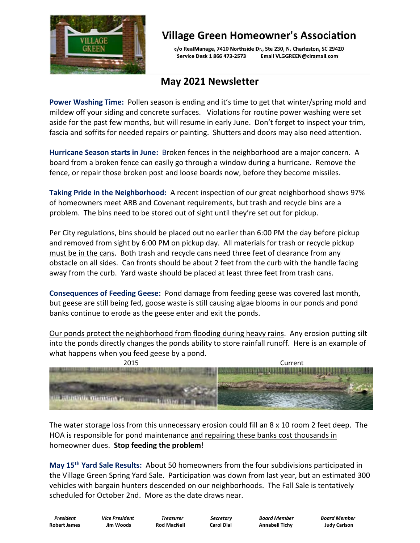

# **Village Green Homeowner's Association**

c/o RealManage, 7410 Northside Dr., Ste 230, N. Charleston, SC 29420 Service Desk 1 866 473-2573 Email VLGGREEN@ciramail.com

## **May 2021 Newsletter**

**Power Washing Time:** Pollen season is ending and it's time to get that winter/spring mold and mildew off your siding and concrete surfaces. Violations for routine power washing were set aside for the past few months, but will resume in early June. Don't forget to inspect your trim, fascia and soffits for needed repairs or painting. Shutters and doors may also need attention.

**Hurricane Season starts in June:** Broken fences in the neighborhood are a major concern. A board from a broken fence can easily go through a window during a hurricane. Remove the fence, or repair those broken post and loose boards now, before they become missiles.

**Taking Pride in the Neighborhood:** A recent inspection of our great neighborhood shows 97% of homeowners meet ARB and Covenant requirements, but trash and recycle bins are a problem. The bins need to be stored out of sight until they're set out for pickup.

Per City regulations, bins should be placed out no earlier than 6:00 PM the day before pickup and removed from sight by 6:00 PM on pickup day. All materials for trash or recycle pickup must be in the cans. Both trash and recycle cans need three feet of clearance from any obstacle on all sides. Can fronts should be about 2 feet from the curb with the handle facing away from the curb. Yard waste should be placed at least three feet from trash cans.

**Consequences of Feeding Geese:** Pond damage from feeding geese was covered last month, but geese are still being fed, goose waste is still causing algae blooms in our ponds and pond banks continue to erode as the geese enter and exit the ponds.

Our ponds protect the neighborhood from flooding during heavy rains. Any erosion putting silt into the ponds directly changes the ponds ability to store rainfall runoff. Here is an example of what happens when you feed geese by a pond.



The water storage loss from this unnecessary erosion could fill an 8 x 10 room 2 feet deep. The HOA is responsible for pond maintenance and repairing these banks cost thousands in homeowner dues. **Stop feeding the problem**!

**May 15th Yard Sale Results:** About 50 homeowners from the four subdivisions participated in the Village Green Spring Yard Sale. Participation was down from last year, but an estimated 300 vehicles with bargain hunters descended on our neighborhoods. The Fall Sale is tentatively scheduled for October 2nd. More as the date draws near.

**Robert James Jim Woods Rod MacNeil Carol Dial Annabell Tichy Judy Carlson**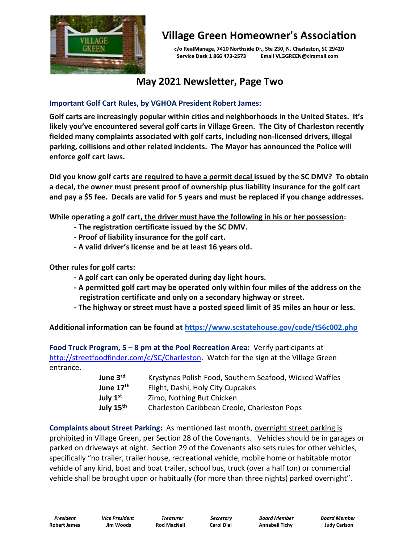

# **Village Green Homeowner's Association**

c/o RealManage, 7410 Northside Dr., Ste 230, N. Charleston, SC 29420 Service Desk 1 866 473-2573 Email VLGGREEN@ciramail.com

### **May 2021 Newsletter, Page Two**

#### **Important Golf Cart Rules, by VGHOA President Robert James:**

**Golf carts are increasingly popular within cities and neighborhoods in the United States. It's likely you've encountered several golf carts in Village Green. The City of Charleston recently fielded many complaints associated with golf carts, including non-licensed drivers, illegal parking, collisions and other related incidents. The Mayor has announced the Police will enforce golf cart laws.**

**Did you know golf carts are required to have a permit decal issued by the SC DMV? To obtain a decal, the owner must present proof of ownership plus liability insurance for the golf cart and pay a \$5 fee. Decals are valid for 5 years and must be replaced if you change addresses.**

**While operating a golf cart, the driver must have the following in his or her possession:**

- **- The registration certificate issued by the SC DMV.**
- **- Proof of liability insurance for the golf cart.**
- **- A valid driver's license and be at least 16 years old.**

**Other rules for golf carts:**

- **- A golf cart can only be operated during day light hours.**
- **- A permitted golf cart may be operated only within four miles of the address on the registration certificate and only on a secondary highway or street.**
- **- The highway or street must have a posted speed limit of 35 miles an hour or less.**

**Additional information can be found at <https://www.scstatehouse.gov/code/t56c002.php>**

**Food Truck Program, 5 – 8 pm at the Pool Recreation Area:** Verify participants at [http://streetfoodfinder.com/c/SC/Charleston.](http://streetfoodfinder.com/c/SC/Charleston) Watch for the sign at the Village Green entrance.

| June 3rd                                                   | Krystynas Polish Food, Southern Seafood, Wicked Waffles |
|------------------------------------------------------------|---------------------------------------------------------|
| June 17 <sup>th</sup><br>Flight, Dashi, Holy City Cupcakes |                                                         |
| July $1st$                                                 | Zimo, Nothing But Chicken                               |
| July 15th                                                  | Charleston Caribbean Creole, Charleston Pops            |

**Complaints about Street Parking:** As mentioned last month, overnight street parking is prohibited in Village Green, per Section 28 of the Covenants. Vehicles should be in garages or parked on driveways at night. Section 29 of the Covenants also sets rules for other vehicles, specifically "no trailer, trailer house, recreational vehicle, mobile home or habitable motor vehicle of any kind, boat and boat trailer, school bus, truck (over a half ton) or commercial vehicle shall be brought upon or habitually (for more than three nights) parked overnight".